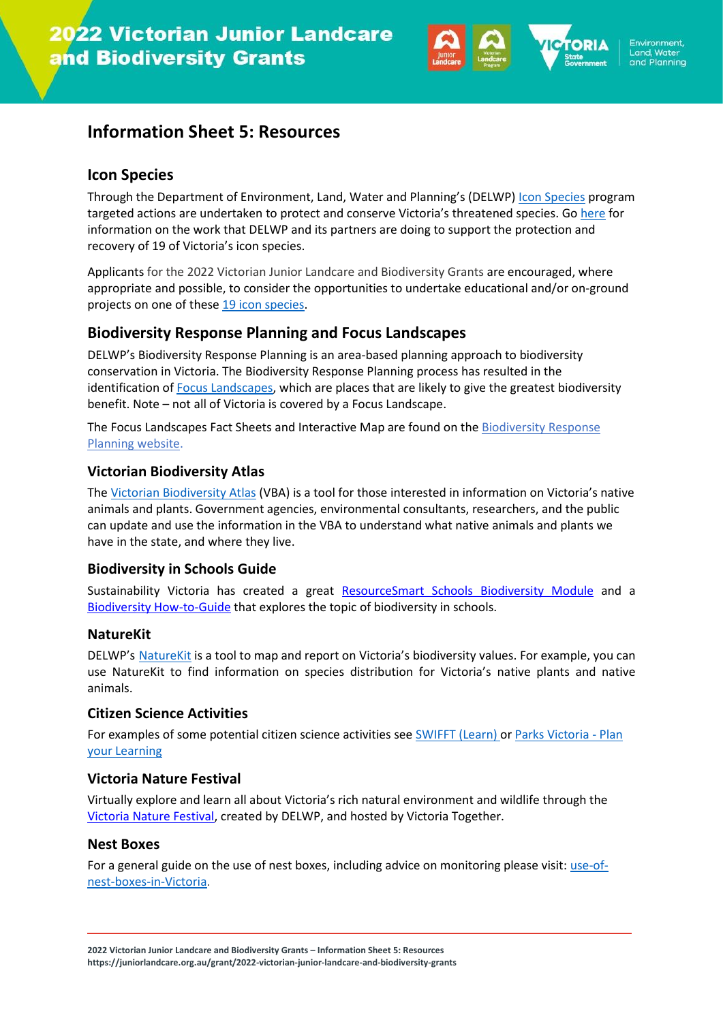

## **Information Sheet 5: Resources**

### **Icon Species**

Through the Department of Environment, Land, Water and Planning's (DELWP) [Icon Species](https://www.environment.vic.gov.au/biodiversity/biodiversity-on-ground-action/icon-species) program targeted actions are undertaken to protect and conserve Victoria's threatened species. Go [here](https://www.environment.vic.gov.au/biodiversity/biodiversity-on-ground-action/icon-species) for information on the work that DELWP and its partners are doing to support the protection and recovery of 19 of Victoria's icon species.

Applicants for the 2022 Victorian Junior Landcare and Biodiversity Grants are encouraged, where appropriate and possible, to consider the opportunities to undertake educational and/or on-ground projects on one of these [19 icon species.](https://www.environment.vic.gov.au/biodiversity/biodiversity-on-ground-action/icon-species)

## **Biodiversity Response Planning and Focus Landscapes**

DELWP's Biodiversity Response Planning is an area-based planning approach to biodiversity conservation in Victoria. The Biodiversity Response Planning process has resulted in the identification o[f Focus Landscapes,](https://www.environment.vic.gov.au/biodiversity/working-together-for-biodiversity#toc__id_2_focus) which are places that are likely to give the greatest biodiversity benefit. Note – not all of Victoria is covered by a Focus Landscape.

The Focus Landscapes Fact Sheets and Interactive Map are found on th[e Biodiversity Response](https://www.environment.vic.gov.au/biodiversity/working-together-for-biodiversity)  [Planning website.](https://www.environment.vic.gov.au/biodiversity/working-together-for-biodiversity)

#### **Victorian Biodiversity Atlas**

The [Victorian Biodiversity Atlas](https://www.environment.vic.gov.au/biodiversity/victorian-biodiversity-atlas) (VBA) is a tool for those interested in information on Victoria's native animals and plants. Government agencies, environmental consultants, researchers, and the public can update and use the information in the VBA to understand what native animals and plants we have in the state, and where they live.

#### **Biodiversity in Schools Guide**

Sustainability Victoria has created a great [ResourceSmart Schools Biodiversity Module](https://www.sustainability.vic.gov.au/energy-efficiency-and-reducing-emissions/resourcesmart-schools/modules/biodiversity-module) and a [Biodiversity How-to-Guide](https://assets.sustainability.vic.gov.au/susvic/RSS-biodiversity-how-to-guide.pdf) that explores the topic of biodiversity in schools.

#### **NatureKit**

DELWP's [NatureKit](https://www.environment.vic.gov.au/biodiversity/naturekit) is a tool to map and report on Victoria's biodiversity values. For example, you can use NatureKit to find information on species distribution for Victoria's native plants and native animals.

#### **Citizen Science Activities**

For examples of some potential citizen science activities see [SWIFFT \(Learn\)](https://www.swifft.net.au/Learn) or [Parks Victoria -](https://www.parks.vic.gov.au/get-into-nature/learning-in-nature/plan-your-learning) Plan [your Learning](https://www.parks.vic.gov.au/get-into-nature/learning-in-nature/plan-your-learning)

#### **[Victoria Nature Festival](https://www.together.vic.gov.au/victoria-nature-festival)**

Virtually explore and learn all about Victoria's rich natural environment and wildlife through the [Victoria Nature Festival,](https://www.together.vic.gov.au/victoria-nature-festival) created by DELWP, and hosted by Victoria Together.

#### **Nest Boxes**

For a general guide on the use of nest boxes, including advice on monitoring please visit[: use-of](http://www.ari.vic.gov.au/research/people-and-nature/use-of-nest-boxes-in-victoria)[nest-boxes-in-Victoria.](http://www.ari.vic.gov.au/research/people-and-nature/use-of-nest-boxes-in-victoria)